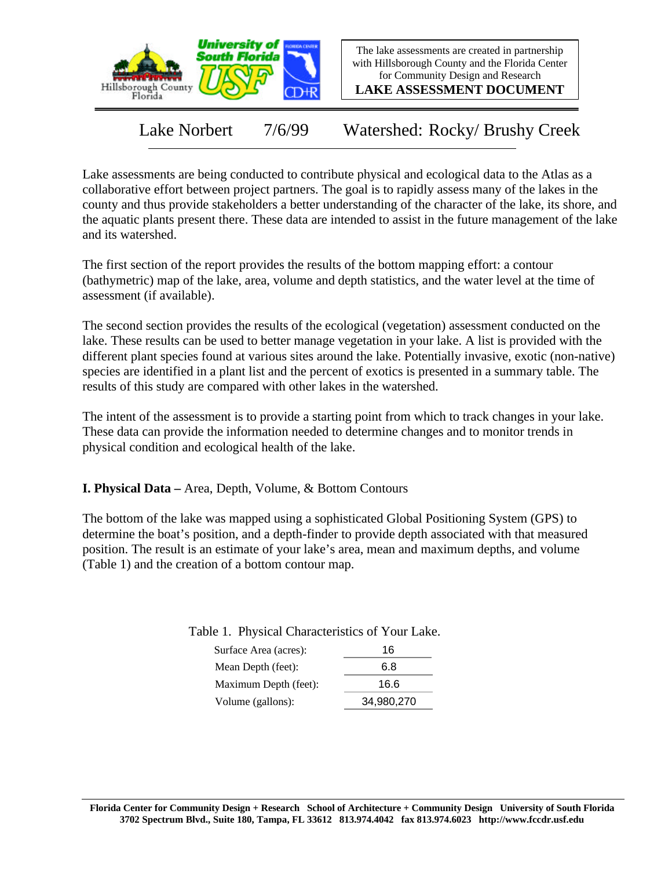

The lake assessments are created in partnership with Hillsborough County and the Florida Center for Community Design and Research

**LAKE ASSESSMENT DOCUMENT**

Lake Norbert 7/6/99 Watershed: Rocky/ Brushy Creek

Lake assessments are being conducted to contribute physical and ecological data to the Atlas as a collaborative effort between project partners. The goal is to rapidly assess many of the lakes in the county and thus provide stakeholders a better understanding of the character of the lake, its shore, and the aquatic plants present there. These data are intended to assist in the future management of the lake and its watershed.

The first section of the report provides the results of the bottom mapping effort: a contour (bathymetric) map of the lake, area, volume and depth statistics, and the water level at the time of assessment (if available).

The second section provides the results of the ecological (vegetation) assessment conducted on the lake. These results can be used to better manage vegetation in your lake. A list is provided with the different plant species found at various sites around the lake. Potentially invasive, exotic (non-native) species are identified in a plant list and the percent of exotics is presented in a summary table. The results of this study are compared with other lakes in the watershed.

The intent of the assessment is to provide a starting point from which to track changes in your lake. These data can provide the information needed to determine changes and to monitor trends in physical condition and ecological health of the lake.

**I. Physical Data –** Area, Depth, Volume, & Bottom Contours

The bottom of the lake was mapped using a sophisticated Global Positioning System (GPS) to determine the boat's position, and a depth-finder to provide depth associated with that measured position. The result is an estimate of your lake's area, mean and maximum depths, and volume (Table 1) and the creation of a bottom contour map.

Table 1. Physical Characteristics of Your Lake.

| Surface Area (acres): | 16         |
|-----------------------|------------|
| Mean Depth (feet):    | 6.8        |
| Maximum Depth (feet): | 16.6       |
| Volume (gallons):     | 34,980,270 |
|                       |            |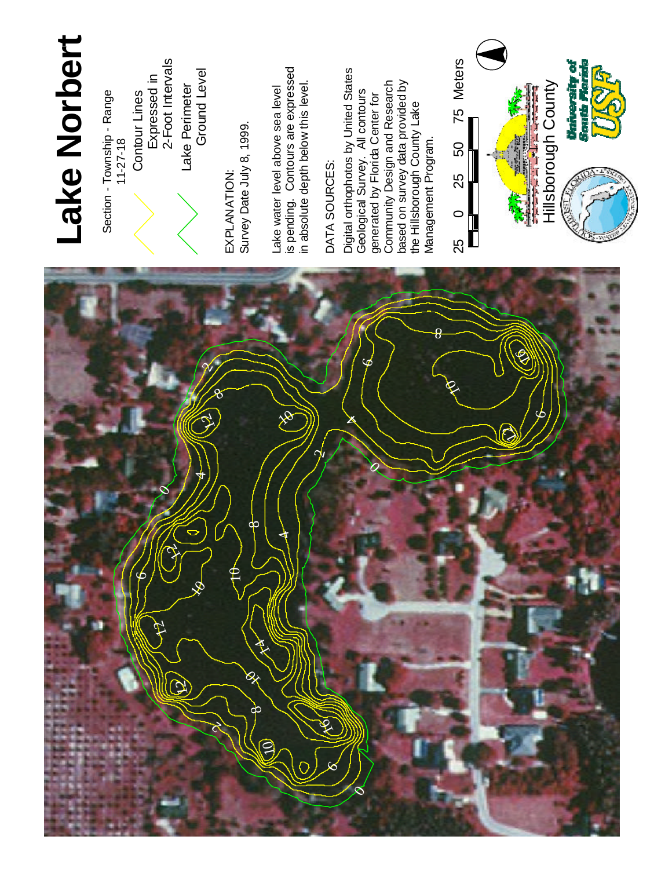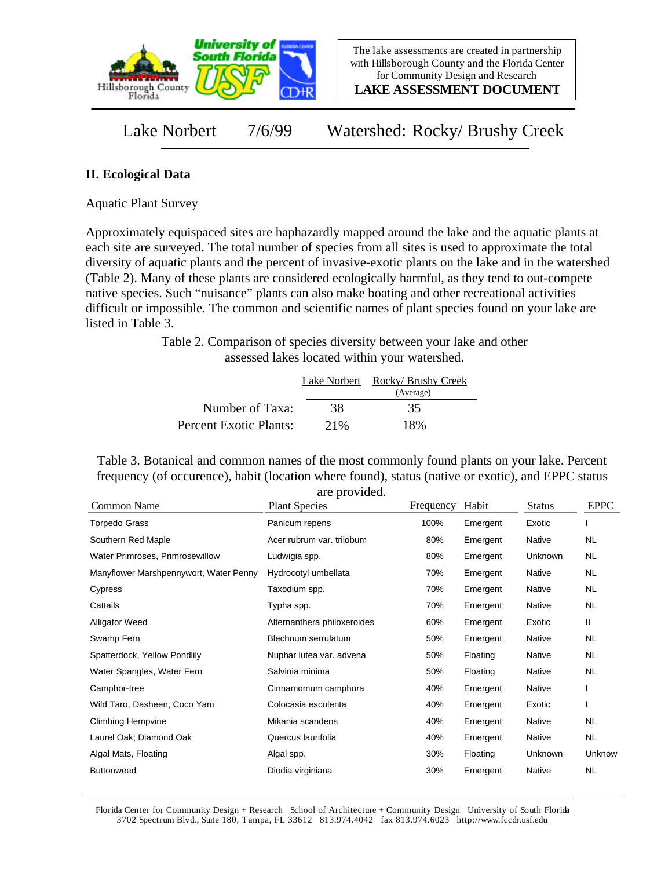

**LAKE ASSESSMENT DOCUMENT**

Lake Norbert 7/6/99 Watershed: Rocky/ Brushy Creek

## **II. Ecological Data**

Aquatic Plant Survey

Approximately equispaced sites are haphazardly mapped around the lake and the aquatic plants at each site are surveyed. The total number of species from all sites is used to approximate the total diversity of aquatic plants and the percent of invasive-exotic plants on the lake and in the watershed (Table 2). Many of these plants are considered ecologically harmful, as they tend to out-compete native species. Such "nuisance" plants can also make boating and other recreational activities difficult or impossible. The common and scientific names of plant species found on your lake are listed in Table 3.

> Table 2. Comparison of species diversity between your lake and other assessed lakes located within your watershed.

|                        |     | Lake Norbert Rocky/ Brushy Creek |
|------------------------|-----|----------------------------------|
|                        |     | (Average)                        |
| Number of Taxa:        | 38  | 35                               |
| Percent Exotic Plants: | 21% | 18%                              |

Table 3. Botanical and common names of the most commonly found plants on your lake. Percent frequency (of occurence), habit (location where found), status (native or exotic), and EPPC status are provided.

| <b>Plant Species</b>        | Frequency | Habit    | <b>Status</b> | <b>EPPC</b> |
|-----------------------------|-----------|----------|---------------|-------------|
| Panicum repens              | 100%      | Emergent | Exotic        |             |
| Acer rubrum var. trilobum   | 80%       | Emergent | Native        | <b>NL</b>   |
| Ludwigia spp.               | 80%       | Emergent | Unknown       | NL.         |
| Hydrocotyl umbellata        | 70%       | Emergent | Native        | <b>NL</b>   |
| Taxodium spp.               | 70%       | Emergent | Native        | NL.         |
| Typha spp.                  | 70%       | Emergent | Native        | <b>NL</b>   |
| Alternanthera philoxeroides | 60%       | Emergent | Exotic        | Ш           |
| Blechnum serrulatum         | 50%       | Emergent | Native        | <b>NL</b>   |
| Nuphar lutea var. advena    | 50%       | Floating | Native        | NL.         |
| Salvinia minima             | 50%       | Floating | Native        | <b>NL</b>   |
| Cinnamomum camphora         | 40%       | Emergent | Native        |             |
| Colocasia esculenta         | 40%       | Emergent | Exotic        |             |
| Mikania scandens            | 40%       | Emergent | Native        | NL          |
| Quercus laurifolia          | 40%       | Emergent | Native        | <b>NL</b>   |
| Algal spp.                  | 30%       | Floating | Unknown       | Unknow      |
| Diodia virginiana           | 30%       | Emergent | Native        | <b>NL</b>   |
|                             |           |          |               |             |

Florida Center for Community Design + Research School of Architecture + Community Design University of South Florida 3702 Spectrum Blvd., Suite 180, Tampa, FL 33612 813.974.4042 fax 813.974.6023 http://www.fccdr.usf.edu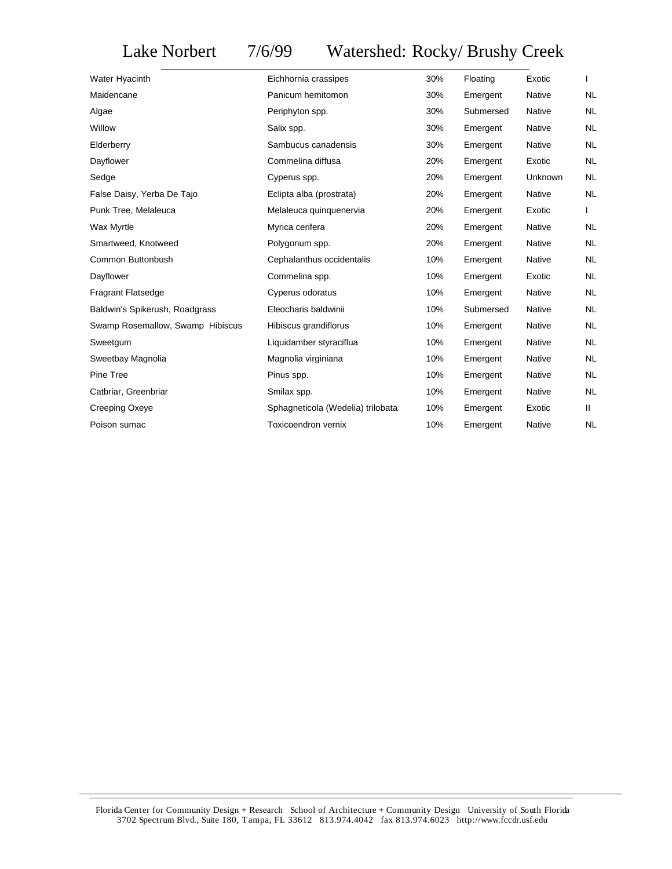## Lake Norbert 7/6/99 Watershed: Rocky/ Brushy Creek

| Water Hyacinth                   | Eichhornia crassipes              | 30% | Floating  | Exotic        |           |
|----------------------------------|-----------------------------------|-----|-----------|---------------|-----------|
| Maidencane                       | Panicum hemitomon                 | 30% | Emergent  | Native        | <b>NL</b> |
| Algae                            | Periphyton spp.                   | 30% | Submersed | <b>Native</b> | <b>NL</b> |
| Willow                           | Salix spp.                        | 30% | Emergent  | <b>Native</b> | <b>NL</b> |
| Elderberry                       | Sambucus canadensis               | 30% | Emergent  | Native        | <b>NL</b> |
| Dayflower                        | Commelina diffusa                 | 20% | Emergent  | Exotic        | <b>NL</b> |
| Sedge                            | Cyperus spp.                      | 20% | Emergent  | Unknown       | <b>NL</b> |
| False Daisy, Yerba De Tajo       | Eclipta alba (prostrata)          | 20% | Emergent  | Native        | <b>NL</b> |
| Punk Tree, Melaleuca             | Melaleuca quinquenervia           | 20% | Emergent  | Exotic        |           |
| Wax Myrtle                       | Myrica cerifera                   | 20% | Emergent  | Native        | <b>NL</b> |
| Smartweed, Knotweed              | Polygonum spp.                    | 20% | Emergent  | Native        | <b>NL</b> |
| Common Buttonbush                | Cephalanthus occidentalis         | 10% | Emergent  | Native        | NL.       |
| Dayflower                        | Commelina spp.                    | 10% | Emergent  | Exotic        | <b>NL</b> |
| <b>Fragrant Flatsedge</b>        | Cyperus odoratus                  | 10% | Emergent  | Native        | <b>NL</b> |
| Baldwin's Spikerush, Roadgrass   | Eleocharis baldwinii              | 10% | Submersed | Native        | NL        |
| Swamp Rosemallow, Swamp Hibiscus | Hibiscus grandiflorus             | 10% | Emergent  | Native        | NL        |
| Sweetgum                         | Liquidamber styraciflua           | 10% | Emergent  | Native        | NL        |
| Sweetbay Magnolia                | Magnolia virginiana               | 10% | Emergent  | Native        | NL        |
| Pine Tree                        | Pinus spp.                        | 10% | Emergent  | Native        | NL        |
| Catbriar, Greenbriar             | Smilax spp.                       | 10% | Emergent  | Native        | NL        |
| Creeping Oxeye                   | Sphagneticola (Wedelia) trilobata | 10% | Emergent  | Exotic        | Ш.        |
| Poison sumac                     | <b>Toxicoendron vernix</b>        | 10% | Emergent  | Native        | <b>NL</b> |
|                                  |                                   |     |           |               |           |